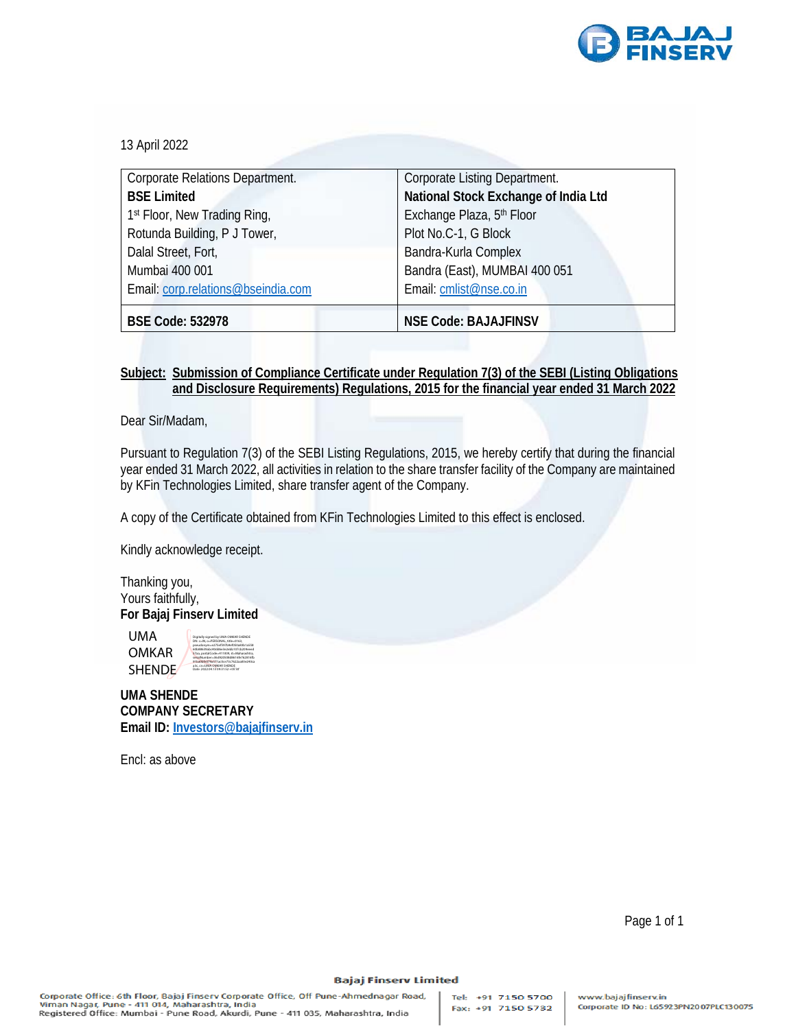

13 April 2022

| Corporate Relations Department.          | Corporate Listing Department.        |
|------------------------------------------|--------------------------------------|
| <b>BSE Limited</b>                       | National Stock Exchange of India Ltd |
| 1 <sup>st</sup> Floor, New Trading Ring, | Exchange Plaza, 5th Floor            |
| Rotunda Building, P J Tower,             | Plot No.C-1, G Block                 |
| Dalal Street, Fort,                      | Bandra-Kurla Complex                 |
| Mumbai 400 001                           | Bandra (East), MUMBAI 400 051        |
| Email: corp.relations@bseindia.com       | Email: cmlist@nse.co.in              |
|                                          |                                      |
| <b>BSE Code: 532978</b>                  | <b>NSE Code: BAJAJFINSV</b>          |

## **Subject: Submission of Compliance Certificate under Regulation 7(3) of the SEBI (Listing Obligations and Disclosure Requirements) Regulations, 2015 for the financial year ended 31 March 2022**

Dear Sir/Madam,

Pursuant to Regulation 7(3) of the SEBI Listing Regulations, 2015, we hereby certify that during the financial year ended 31 March 2022, all activities in relation to the share transfer facility of the Company are maintained by KFin Technologies Limited, share transfer agent of the Company.

A copy of the Certificate obtained from KFin Technologies Limited to this effect is enclosed.

Kindly acknowledge receipt.

Thanking you, Yours faithfully, **For Bajaj Finserv Limited** 

UMA OMKAR SHENDE Digitally signed by UMA OMKAR SHENDE DN: c=IN, o=PERSONAL, title=0163, pseudonym=e275ef597b9ef050a83b1a558 60b88639abc40dd6e3e2ebb107cb209eeed 57aa, postalCode=411009, st=Maharashtra, serialNumber=36d920508d8616fe762816fb 91ba0bfe079a571ac0ce73c7622aa00e240ca

**UMA SHENDE**  a3c, cn=UMA OMKAR SHENDE Date: 2022.04.13 09:31:52 +05'30'

**COMPANY SECRETARY Email ID: Investors@bajajfinserv.in**

Encl: as above

Page 1 of 1

## **Bajaj Finserv Limited**